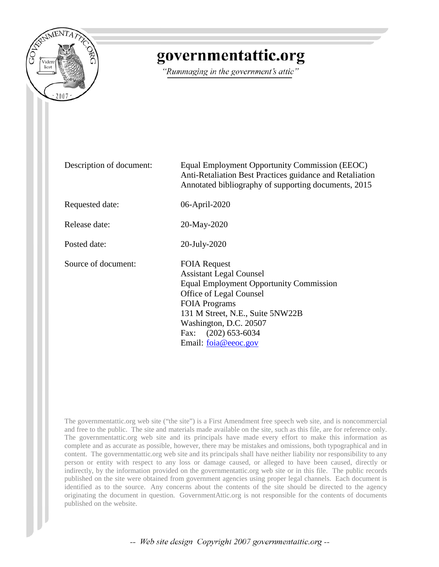

# governmentattic.org

"Rummaging in the government's attic"

Description of document: Equal Employment Opportunity Commission (EEOC) Anti-Retaliation Best Practices guidance and Retaliation Annotated bibliography of supporting documents, 2015 Requested date: 06-April-2020 Release date: 20-May-2020 Posted date: 20-July-2020 Source of document: FOIA Request Assistant Legal Counsel Equal Employment Opportunity Commission Office of Legal Counsel FOIA Programs 131 M Street, N.E., Suite 5NW22B Washington, D.C. 20507 Fax: (202) 653-6034 Email: [foia@eeoc.gov](mailto:foia@eeoc.gov?subject=FOIA%20Request)

The governmentattic.org web site ("the site") is a First Amendment free speech web site, and is noncommercial and free to the public. The site and materials made available on the site, such as this file, are for reference only. The governmentattic.org web site and its principals have made every effort to make this information as complete and as accurate as possible, however, there may be mistakes and omissions, both typographical and in content. The governmentattic.org web site and its principals shall have neither liability nor responsibility to any person or entity with respect to any loss or damage caused, or alleged to have been caused, directly or indirectly, by the information provided on the governmentattic.org web site or in this file. The public records published on the site were obtained from government agencies using proper legal channels. Each document is identified as to the source. Any concerns about the contents of the site should be directed to the agency originating the document in question. GovernmentAttic.org is not responsible for the contents of documents published on the website.

-- Web site design Copyright 2007 governmentattic.org --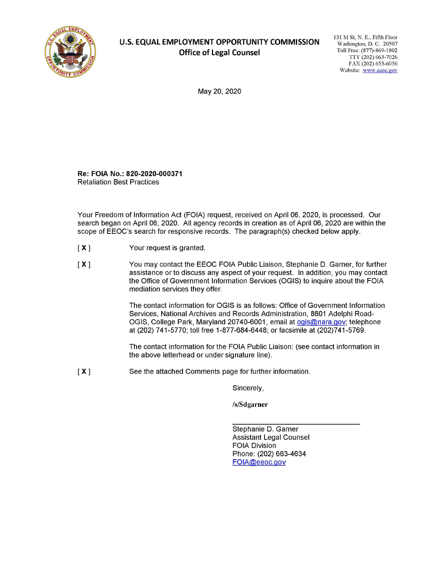

# **U.S. EQUAL EMPLOYMENT OPPORTUNITY COMMISSION Office of Legal Counsel**

131 M St, N. E., Fifth Floor Washington, D. C. 20507 Toll Free: (877)-869-1802 TTY (202) 663-7026 FAX (202) 653-6056 Website: www.eeoc.gov

May 20, 2020

**Re: FOIA No.: 820-2020-000371**  Retaliation Best Practices

Your Freedom of Information Act (FOIA) request, received on April 06, 2020, is processed. Our search began on April 06, 2020. All agency records in creation as of April 06, 2020 are within the scope of EEOC's search for responsive records. The paragraph(s) checked below apply.

- **[X]**  Your request is granted.
- **[X]**  You may contact the EEOC FOIA Public Liaison, Stephanie D. Garner, for further assistance or to discuss any aspect of your request. In addition, you may contact the Office of Government Information Services (OGIS) to inquire about the FOIA mediation services they offer.

The contact information for OGIS is as follows: Office of Government Information Services, National Archives and Records Administration, 8601 Adelphi Road-OGIS, College Park, Maryland 20740-6001, email at ogis@nara.gov; telephone at (202) 741-5770; toll free 1-877-684-6448; or facsimile at (202)741-5769.

The contact information for the FOIA Public Liaison: (see contact information in the above letterhead or under signature line).

**[X]**  See the attached Comments page for further information.

Sincerely,

**/s/Sdgarner** 

Stephanie D. Garner Assistant Legal Counsel FOIA Division Phone: (202) 663-4634 FOIA@eeoc.gov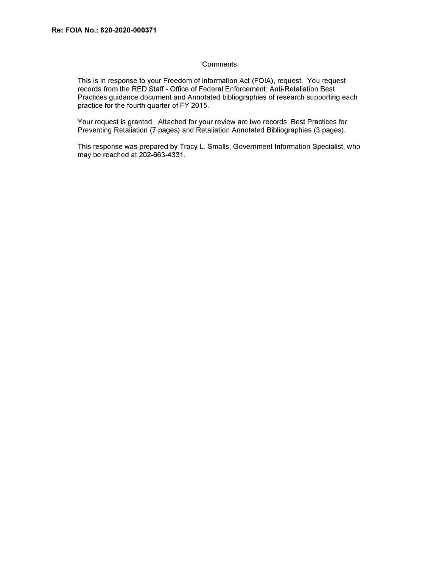#### **Comments**

This is in response to your Freedom of information Act (FOIA), request. You request records from the **RED** Staff - Office of Federal Enforcement: Anti-Retaliation Best Practices guidance document and Annotated bibliographies of research supporting each practice for the fourth quarter of FY 2015.

Your request is granted. Attached for your review are two records: Best Practices for Preventing Retaliation (7 pages) and Retaliation Annotated Bibliographies (3 pages).

This response was prepared by Tracy **L.** Smalls, Government Information Specialist, who may be reached at 202-663-4331.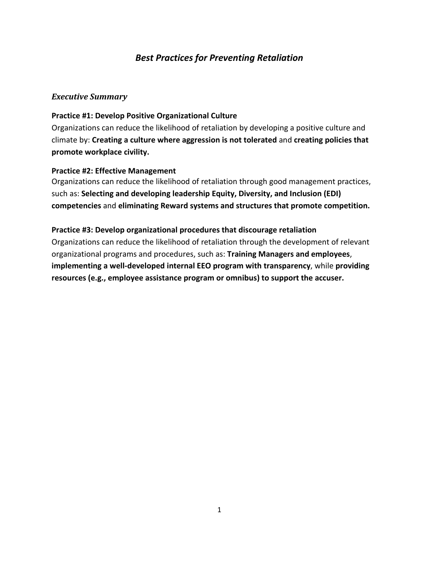# *Best Practices for Preventing Retaliation*

## *Executive Summary*

## **Practice #1: Develop Positive Organizational Culture**

Organizations can reduce the likelihood of retaliation by developing a positive culture and climate by: **Creating a culture where aggression is not tolerated** and **creating policies that promote workplace civility.**

## **Practice #2: Effective Management**

Organizations can reduce the likelihood of retaliation through good management practices, such as: **Selecting and developing leadership Equity, Diversity, and Inclusion (EDI) competencies** and **eliminating Reward systems and structures that promote competition.**

# **Practice #3: Develop organizational procedures that discourage retaliation**

Organizations can reduce the likelihood of retaliation through the development of relevant organizational programs and procedures, such as: **Training Managers and employees**, **implementing a well-developed internal EEO program with transparency**, while **providing resources (e.g., employee assistance program or omnibus) to support the accuser.**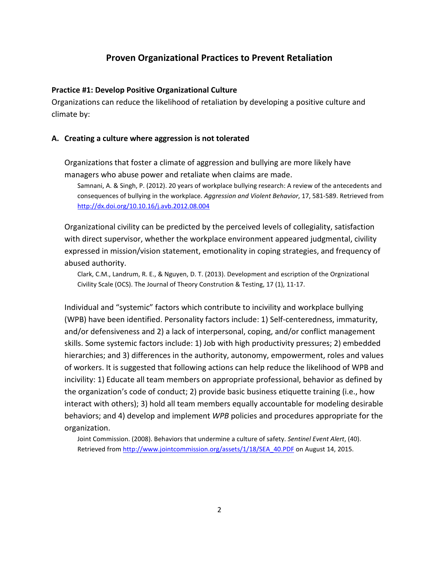# **Proven Organizational Practices to Prevent Retaliation**

## **Practice #1: Develop Positive Organizational Culture**

Organizations can reduce the likelihood of retaliation by developing a positive culture and climate by:

## **A. Creating a culture where aggression is not tolerated**

Organizations that foster a climate of aggression and bullying are more likely have managers who abuse power and retaliate when claims are made.

Samnani, A. & Singh, P. (2012). 20 years of workplace bullying research: A review of the antecedents and consequences of bullying in the workplace. *Aggression and Violent Behavior*, 17, 581-589. Retrieved from <http://dx.doi.org/10.10.16/j.avb.2012.08.004>

Organizational civility can be predicted by the perceived levels of collegiality, satisfaction with direct supervisor, whether the workplace environment appeared judgmental, civility expressed in mission/vision statement, emotionality in coping strategies, and frequency of abused authority.

Clark, C.M., Landrum, R. E., & Nguyen, D. T. (2013). Development and escription of the Orgnizational Civility Scale (OCS). The Journal of Theory Constrution & Testing, 17 (1), 11-17.

Individual and "systemic" factors which contribute to incivility and workplace bullying (WPB) have been identified. Personality factors include: 1) Self-centeredness, immaturity, and/or defensiveness and 2) a lack of interpersonal, coping, and/or conflict management skills. Some systemic factors include: 1) Job with high productivity pressures; 2) embedded hierarchies; and 3) differences in the authority, autonomy, empowerment, roles and values of workers. It is suggested that following actions can help reduce the likelihood of WPB and incivility: 1) Educate all team members on appropriate professional, behavior as defined by the organization's code of conduct; 2) provide basic business etiquette training (i.e., how interact with others); 3) hold all team members equally accountable for modeling desirable behaviors; and 4) develop and implement *WPB* policies and procedures appropriate for the organization.

Joint Commission. (2008). Behaviors that undermine a culture of safety. *Sentinel Event Alert*, (40). Retrieved fro[m http://www.jointcommission.org/assets/1/18/SEA\\_40.PDF](http://www.jointcommission.org/assets/1/18/SEA_40.PDF) on August 14, 2015.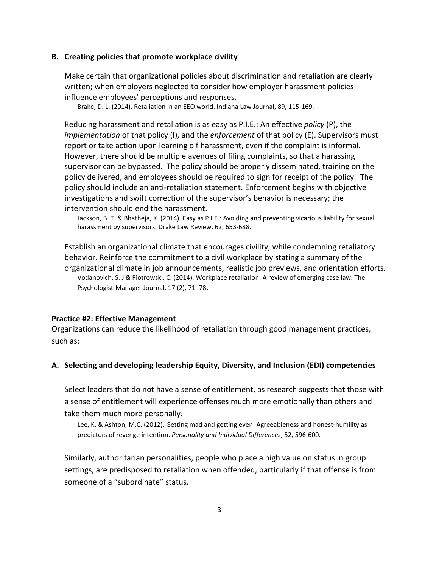#### **B. Creating policies that promote workplace civility**

Make certain that organizational policies about discrimination and retaliation are clearly written; when employers neglected to consider how employer harassment policies influence employees' perceptions and responses.

Brake, D. L. (2014). Retaliation in an EEO world. Indiana Law Journal, 89, 115-169.

Reducing harassment and retaliation is as easy as P.I.E.: An effective *policy* (P), the *implementation* of that policy (I), and the *enforcement* of that policy (E). Supervisors must report or take action upon learning o f harassment, even if the complaint is informal. However, there should be multiple avenues of filing complaints, so that a harassing supervisor can be bypassed. The policy should be properly disseminated, training on the policy delivered, and employees should be required to sign for receipt of the policy. The policy should include an anti-retaliation statement. Enforcement begins with objective investigations and swift correction of the supervisor's behavior is necessary; the intervention should end the harassment.

Jackson, B. T. & Bhatheja, K. (2014). Easy as P.I.E.: Avoiding and preventing vicarious liability for sexual harassment by supervisors. Drake Law Review, 62, 653-688.

Establish an organizational climate that encourages civility, while condemning retaliatory behavior. Reinforce the commitment to a civil workplace by stating a summary of the organizational climate in job announcements, realistic job previews, and orientation efforts. Vodanovich, S. J & Piotrowski, C. (2014). Workplace retaliation: A review of emerging case law. The Psychologist-Manager Journal, 17 (2), 71–78.

#### **Practice #2: Effective Management**

Organizations can reduce the likelihood of retaliation through good management practices, such as:

#### **A. Selecting and developing leadership Equity, Diversity, and Inclusion (EDI) competencies**

Select leaders that do not have a sense of entitlement, as research suggests that those with a sense of entitlement will experience offenses much more emotionally than others and take them much more personally.

Lee, K. & Ashton, M.C. (2012). Getting mad and getting even: Agreeableness and honest-humility as predictors of revenge intention. *Personality and Individual Differences*, 52, 596-600.

Similarly, authoritarian personalities, people who place a high value on status in group settings, are predisposed to retaliation when offended, particularly if that offense is from someone of a "subordinate" status.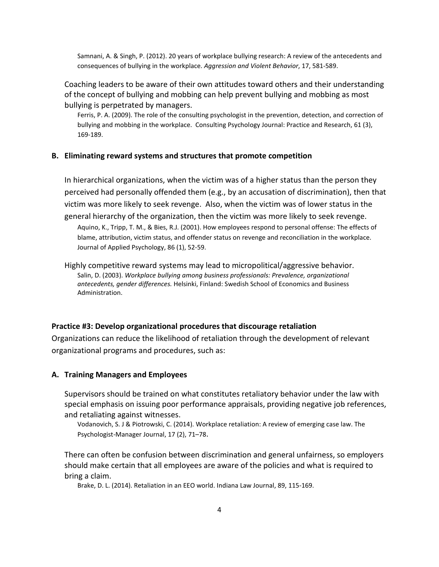Samnani, A. & Singh, P. (2012). 20 years of workplace bullying research: A review of the antecedents and consequences of bullying in the workplace. *Aggression and Violent Behavior*, 17, 581-589.

Coaching leaders to be aware of their own attitudes toward others and their understanding of the concept of bullying and mobbing can help prevent bullying and mobbing as most bullying is perpetrated by managers.

Ferris, P. A. (2009). The role of the consulting psychologist in the prevention, detection, and correction of bullying and mobbing in the workplace. Consulting Psychology Journal: Practice and Research, 61 (3), 169-189.

#### **B. Eliminating reward systems and structures that promote competition**

In hierarchical organizations, when the victim was of a higher status than the person they perceived had personally offended them (e.g., by an accusation of discrimination), then that victim was more likely to seek revenge. Also, when the victim was of lower status in the general hierarchy of the organization, then the victim was more likely to seek revenge. Aquino, K., Tripp, T. M., & Bies, R.J. (2001). How employees respond to personal offense: The effects of blame, attribution, victim status, and offender status on revenge and reconciliation in the workplace. Journal of Applied Psychology, 86 (1), 52-59.

Highly competitive reward systems may lead to micropolitical/aggressive behavior. Salin, D. (2003). *Workplace bullying among business professionals: Prevalence, organizational antecedents, gender differences.* Helsinki, Finland: Swedish School of Economics and Business Administration.

#### **Practice #3: Develop organizational procedures that discourage retaliation**

Organizations can reduce the likelihood of retaliation through the development of relevant organizational programs and procedures, such as:

#### **A. Training Managers and Employees**

Supervisors should be trained on what constitutes retaliatory behavior under the law with special emphasis on issuing poor performance appraisals, providing negative job references, and retaliating against witnesses.

Vodanovich, S. J & Piotrowski, C. (2014). Workplace retaliation: A review of emerging case law. The Psychologist-Manager Journal, 17 (2), 71–78.

There can often be confusion between discrimination and general unfairness, so employers should make certain that all employees are aware of the policies and what is required to bring a claim.

Brake, D. L. (2014). Retaliation in an EEO world. Indiana Law Journal, 89, 115-169.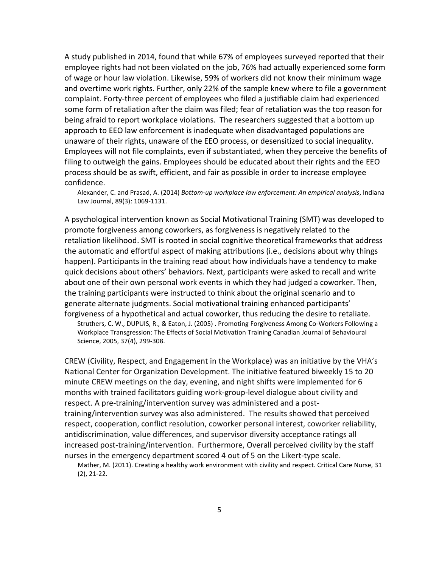A study published in 2014, found that while 67% of employees surveyed reported that their employee rights had not been violated on the job, 76% had actually experienced some form of wage or hour law violation. Likewise, 59% of workers did not know their minimum wage and overtime work rights. Further, only 22% of the sample knew where to file a government complaint. Forty-three percent of employees who filed a justifiable claim had experienced some form of retaliation after the claim was filed; fear of retaliation was the top reason for being afraid to report workplace violations. The researchers suggested that a bottom up approach to EEO law enforcement is inadequate when disadvantaged populations are unaware of their rights, unaware of the EEO process, or desensitized to social inequality. Employees will not file complaints, even if substantiated, when they perceive the benefits of filing to outweigh the gains. Employees should be educated about their rights and the EEO process should be as swift, efficient, and fair as possible in order to increase employee confidence.

Alexander, C. and Prasad, A. (2014) *Bottom-up workplace law enforcement: An empirical analysis*, Indiana Law Journal, 89(3): 1069-1131.

A psychological intervention known as Social Motivational Training (SMT) was developed to promote forgiveness among coworkers, as forgiveness is negatively related to the retaliation likelihood. SMT is rooted in social cognitive theoretical frameworks that address the automatic and effortful aspect of making attributions (i.e., decisions about why things happen). Participants in the training read about how individuals have a tendency to make quick decisions about others' behaviors. Next, participants were asked to recall and write about one of their own personal work events in which they had judged a coworker. Then, the training participants were instructed to think about the original scenario and to generate alternate judgments. Social motivational training enhanced participants' forgiveness of a hypothetical and actual coworker, thus reducing the desire to retaliate.

Struthers, C. W., DUPUIS, R., & Eaton, J. (2005) . Promoting Forgiveness Among Co-Workers Following a Workplace Transgression: The Effects of Social Motivation Training Canadian Journal of Behavioural Science, 2005, 37(4), 299-308.

CREW (Civility, Respect, and Engagement in the Workplace) was an initiative by the VHA's National Center for Organization Development. The initiative featured biweekly 15 to 20 minute CREW meetings on the day, evening, and night shifts were implemented for 6 months with trained facilitators guiding work-group-level dialogue about civility and respect. A pre-training/intervention survey was administered and a posttraining/intervention survey was also administered. The results showed that perceived respect, cooperation, conflict resolution, coworker personal interest, coworker reliability, antidiscrimination, value differences, and supervisor diversity acceptance ratings all increased post-training/intervention. Furthermore, Overall perceived civility by the staff nurses in the emergency department scored 4 out of 5 on the Likert-type scale.

Mather, M. (2011). Creating a healthy work environment with civility and respect. Critical Care Nurse, 31 (2), 21-22.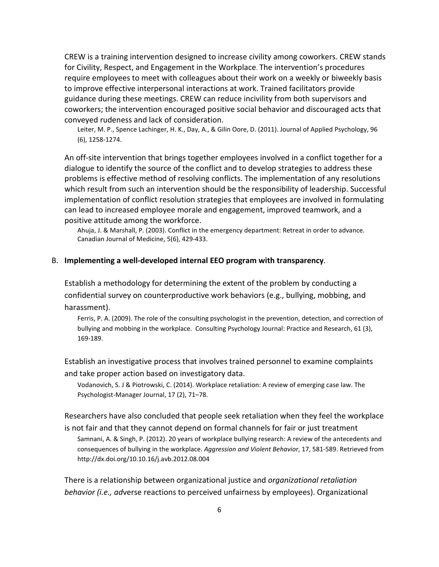CREW is a training intervention designed to increase civility among coworkers. CREW stands for Civility, Respect, and Engagement in the Workplace. The intervention's procedures require employees to meet with colleagues about their work on a weekly or biweekly basis to improve effective interpersonal interactions at work. Trained facilitators provide guidance during these meetings. CREW can reduce incivility from both supervisors and coworkers; the intervention encouraged positive social behavior and discouraged acts that conveyed rudeness and lack of consideration.

Leiter, M. P., Spence Lachinger, H. K., Day, A., & Gilin Oore, D. (2011). Journal of Applied Psychology, 96 (6), 1258-1274.

An off-site intervention that brings together employees involved in a conflict together for a dialogue to identify the source of the conflict and to develop strategies to address these problems is effective method of resolving conflicts. The implementation of any resolutions which result from such an intervention should be the responsibility of leadership. Successful implementation of conflict resolution strategies that employees are involved in formulating can lead to increased employee morale and engagement, improved teamwork, and a positive attitude among the workforce.

Ahuja, J. & Marshall, P. (2003). Conflict in the emergency department: Retreat in order to advance. Canadian Journal of Medicine, 5(6), 429-433.

#### B. **Implementing a well-developed internal EEO program with transparency**.

Establish a methodology for determining the extent of the problem by conducting a confidential survey on counterproductive work behaviors (e.g., bullying, mobbing, and harassment).

Ferris, P. A. (2009). The role of the consulting psychologist in the prevention, detection, and correction of bullying and mobbing in the workplace. Consulting Psychology Journal: Practice and Research, 61 (3), 169-189.

Establish an investigative process that involves trained personnel to examine complaints and take proper action based on investigatory data.

Vodanovich, S. J & Piotrowski, C. (2014). Workplace retaliation: A review of emerging case law. The Psychologist-Manager Journal, 17 (2), 71–78.

Researchers have also concluded that people seek retaliation when they feel the workplace is not fair and that they cannot depend on formal channels for fair or just treatment Samnani, A. & Singh, P. (2012). 20 years of workplace bullying research: A review of the antecedents and consequences of bullying in the workplace. *Aggression and Violent Behavior*, 17, 581-589. Retrieved from http://dx.doi.org/10.10.16/j.avb.2012.08.004

There is a relationship between organizational justice and *organizational retaliation behavior (i.e., ad*verse reactions to perceived unfairness by employees). Organizational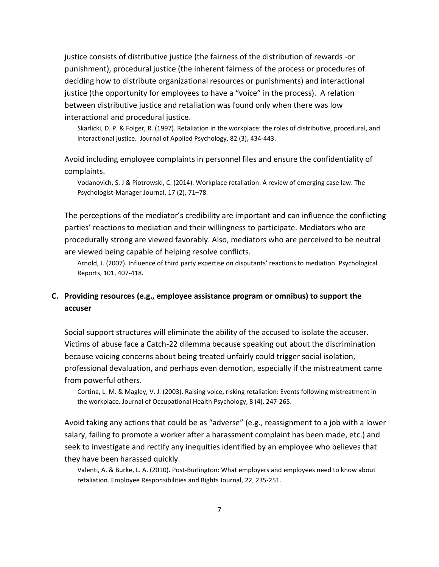justice consists of distributive justice (the fairness of the distribution of rewards -or punishment), procedural justice (the inherent fairness of the process or procedures of deciding how to distribute organizational resources or punishments) and interactional justice (the opportunity for employees to have a "voice" in the process). A relation between distributive justice and retaliation was found only when there was low interactional and procedural justice.

Skarlicki, D. P. & Folger, R. (1997). Retaliation in the workplace: the roles of distributive, procedural, and interactional justice. Journal of Applied Psychology, 82 (3), 434-443.

Avoid including employee complaints in personnel files and ensure the confidentiality of complaints.

Vodanovich, S. J & Piotrowski, C. (2014). Workplace retaliation: A review of emerging case law. The Psychologist-Manager Journal, 17 (2), 71–78.

The perceptions of the mediator's credibility are important and can influence the conflicting parties' reactions to mediation and their willingness to participate. Mediators who are procedurally strong are viewed favorably. Also, mediators who are perceived to be neutral are viewed being capable of helping resolve conflicts.

Arnold, J. (2007). Influence of third party expertise on disputants' reactions to mediation. Psychological Reports, 101, 407-418.

# **C. Providing resources (e.g., employee assistance program or omnibus) to support the accuser**

Social support structures will eliminate the ability of the accused to isolate the accuser. Victims of abuse face a Catch-22 dilemma because speaking out about the discrimination because voicing concerns about being treated unfairly could trigger social isolation, professional devaluation, and perhaps even demotion, especially if the mistreatment came from powerful others.

Cortina, L. M. & Magley, V. J. (2003). Raising voice, risking retaliation: Events following mistreatment in the workplace. Journal of Occupational Health Psychology, 8 (4), 247-265.

Avoid taking any actions that could be as "adverse" (e.g., reassignment to a job with a lower salary, failing to promote a worker after a harassment complaint has been made, etc.) and seek to investigate and rectify any inequities identified by an employee who believes that they have been harassed quickly.

Valenti, A. & Burke, L. A. (2010). Post-Burlington: What employers and employees need to know about retaliation. Employee Responsibilities and Rights Journal, 22, 235-251.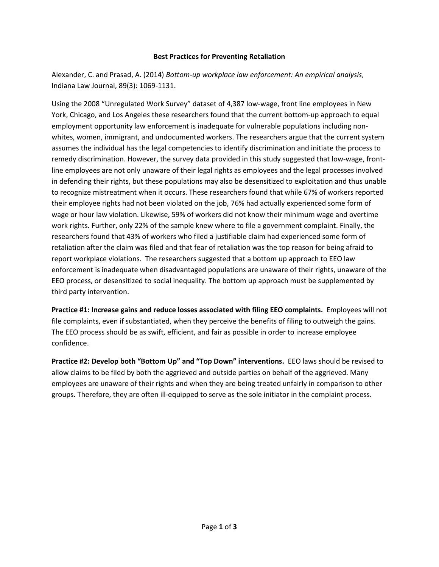#### **Best Practices for Preventing Retaliation**

Alexander, C. and Prasad, A. (2014) *Bottom-up workplace law enforcement: An empirical analysis*, Indiana Law Journal, 89(3): 1069-1131.

Using the 2008 "Unregulated Work Survey" dataset of 4,387 low-wage, front line employees in New York, Chicago, and Los Angeles these researchers found that the current bottom-up approach to equal employment opportunity law enforcement is inadequate for vulnerable populations including nonwhites, women, immigrant, and undocumented workers. The researchers argue that the current system assumes the individual has the legal competencies to identify discrimination and initiate the process to remedy discrimination. However, the survey data provided in this study suggested that low-wage, frontline employees are not only unaware of their legal rights as employees and the legal processes involved in defending their rights, but these populations may also be desensitized to exploitation and thus unable to recognize mistreatment when it occurs. These researchers found that while 67% of workers reported their employee rights had not been violated on the job, 76% had actually experienced some form of wage or hour law violation. Likewise, 59% of workers did not know their minimum wage and overtime work rights. Further, only 22% of the sample knew where to file a government complaint. Finally, the researchers found that 43% of workers who filed a justifiable claim had experienced some form of retaliation after the claim was filed and that fear of retaliation was the top reason for being afraid to report workplace violations. The researchers suggested that a bottom up approach to EEO law enforcement is inadequate when disadvantaged populations are unaware of their rights, unaware of the EEO process, or desensitized to social inequality. The bottom up approach must be supplemented by third party intervention.

**Practice #1: Increase gains and reduce losses associated with filing EEO complaints.** Employees will not file complaints, even if substantiated, when they perceive the benefits of filing to outweigh the gains. The EEO process should be as swift, efficient, and fair as possible in order to increase employee confidence.

**Practice #2: Develop both "Bottom Up" and "Top Down" interventions.** EEO laws should be revised to allow claims to be filed by both the aggrieved and outside parties on behalf of the aggrieved. Many employees are unaware of their rights and when they are being treated unfairly in comparison to other groups. Therefore, they are often ill-equipped to serve as the sole initiator in the complaint process.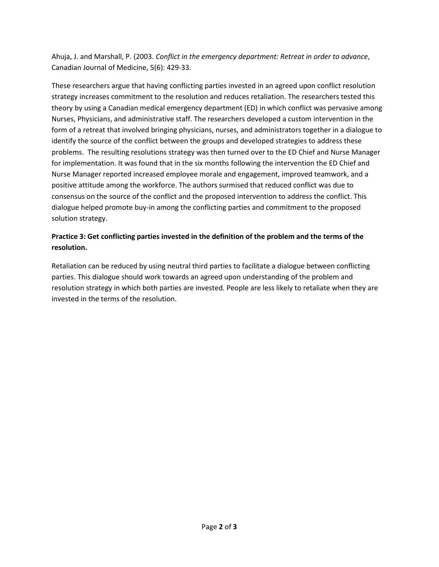Ahuja, J. and Marshall, P. (2003. *Conflict in the emergency department: Retreat in order to advance*, Canadian Journal of Medicine, 5(6): 429-33.

These researchers argue that having conflicting parties invested in an agreed upon conflict resolution strategy increases commitment to the resolution and reduces retaliation. The researchers tested this theory by using a Canadian medical emergency department (ED) in which conflict was pervasive among Nurses, Physicians, and administrative staff. The researchers developed a custom intervention in the form of a retreat that involved bringing physicians, nurses, and administrators together in a dialogue to identify the source of the conflict between the groups and developed strategies to address these problems. The resulting resolutions strategy was then turned over to the ED Chief and Nurse Manager for implementation. It was found that in the six months following the intervention the ED Chief and Nurse Manager reported increased employee morale and engagement, improved teamwork, and a positive attitude among the workforce. The authors surmised that reduced conflict was due to consensus on the source of the conflict and the proposed intervention to address the conflict. This dialogue helped promote buy-in among the conflicting parties and commitment to the proposed solution strategy.

# **Practice 3: Get conflicting parties invested in the definition of the problem and the terms of the resolution.**

Retaliation can be reduced by using neutral third parties to facilitate a dialogue between conflicting parties. This dialogue should work towards an agreed upon understanding of the problem and resolution strategy in which both parties are invested. People are less likely to retaliate when they are invested in the terms of the resolution.